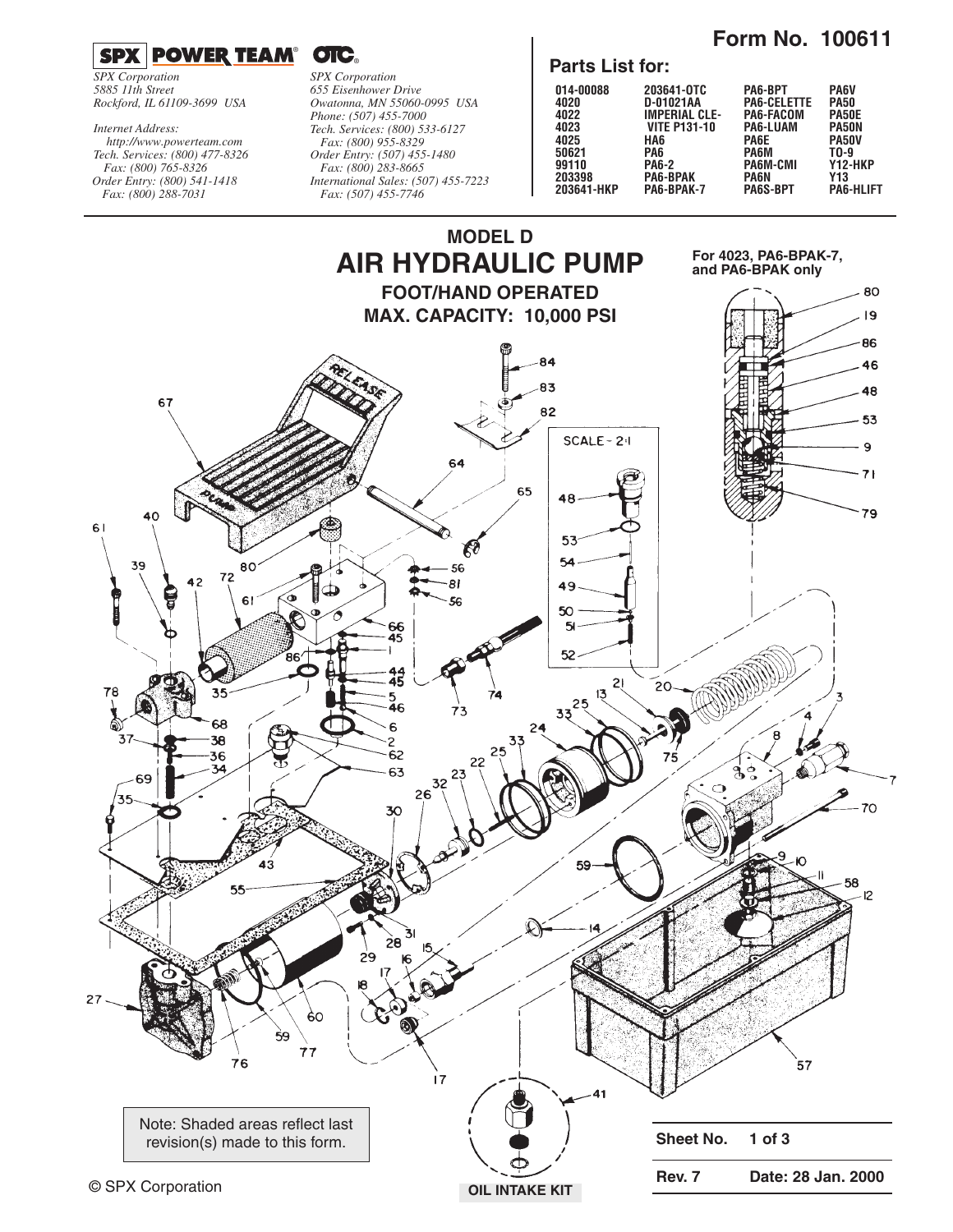**Form No. 100611** 



*SPX Corporation 5885 11th Street Rockford, IL 61109-3699 USA*

*Tech. Services: (800) 477-8326 Fax: (800) 765-8326 Order Entry: (800) 541-1418 Fax: (800) 288-7031 http://www.powerteam.com Internet Address:*

*SPX Corporation 655 Eisenhower Drive Owatonna, MN 55060-0995 USA Phone: (507) 455-7000 Tech. Services: (800) 533-6127 Fax: (800) 955-8329 Order Entry: (507) 455-1480 Fax: (800) 283-8665 International Sales: (507) 455-7223 Fax: (507) 455-7746*

#### **Parts List for:**

| 014-00088  | 203641-0TC           | PA6-BPT            | <b>PA6V</b>      |
|------------|----------------------|--------------------|------------------|
| 4020       | D-01021AA            | <b>PA6-CELETTE</b> | <b>PA50</b>      |
| 4022       | <b>IMPERIAL CLE-</b> | PA6-FACOM          | <b>PA50E</b>     |
| 4023       | <b>VITE P131-10</b>  | <b>PA6-LUAM</b>    | PA50N            |
| 4025       | HA6                  | PA6E               | PA50V            |
| 50621      | PA6                  | PA6M               | TO-9             |
| 99110      | <b>PA6-2</b>         | <b>PA6M-CMI</b>    | Y12-HKP          |
| 203398     | <b>PA6-BPAK</b>      | <b>PA6N</b>        | Y13              |
| 203641-HKP | PA6-BPAK-7           | <b>PA6S-BPT</b>    | <b>PA6-HLIFT</b> |

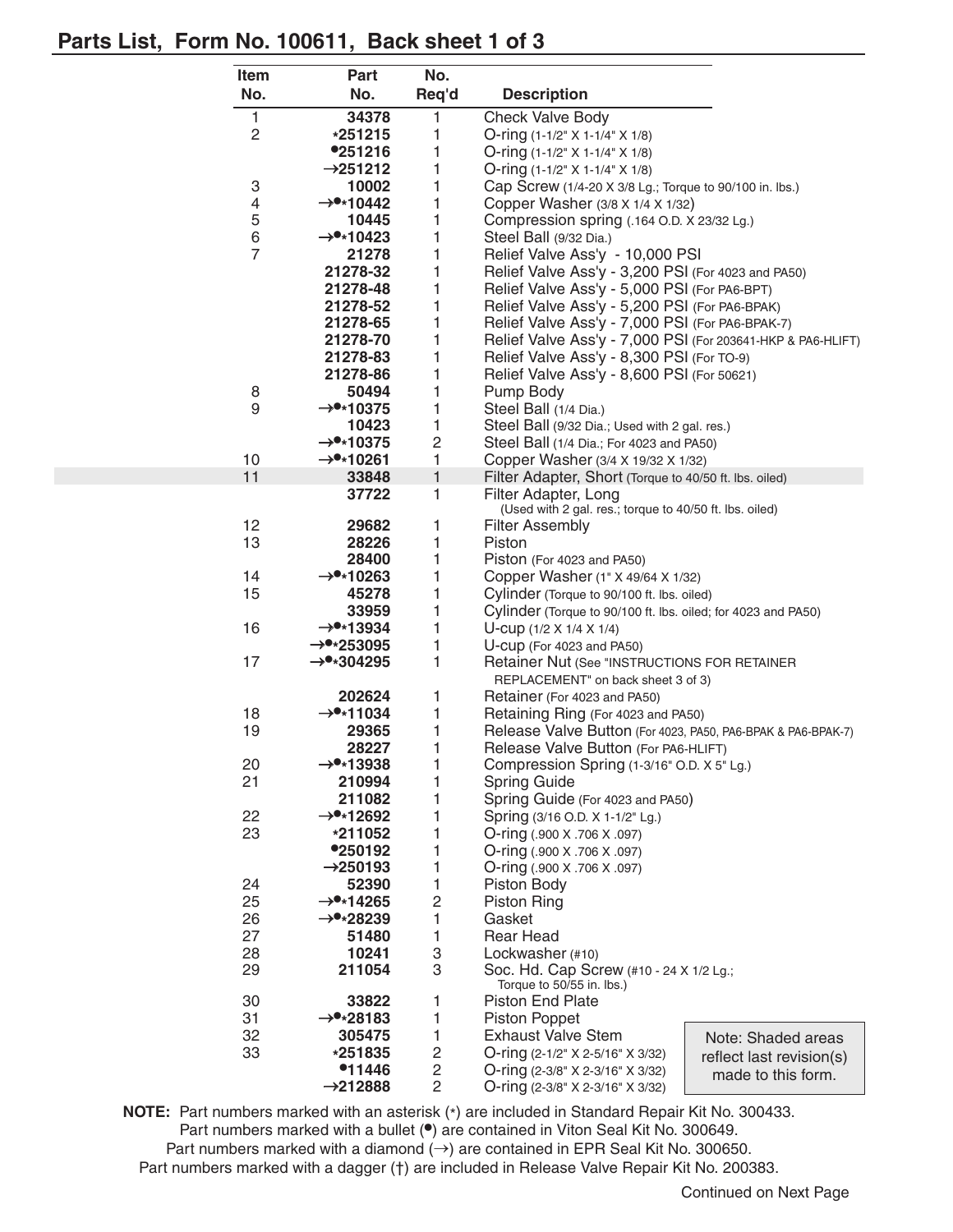## **Parts List, Form No. 100611, Back sheet 1 of 3**

| <b>Item</b>     | <b>Part</b>                                    | No.                     |                                                                                                             |                    |
|-----------------|------------------------------------------------|-------------------------|-------------------------------------------------------------------------------------------------------------|--------------------|
| No.             | No.                                            | Req'd                   | <b>Description</b>                                                                                          |                    |
| 1               | 34378                                          | 1                       | <b>Check Valve Body</b>                                                                                     |                    |
| $\overline{c}$  | *251215                                        | 1                       | O-ring $(1-1/2"$ X 1-1/4" X 1/8)                                                                            |                    |
|                 | <b>•251216</b>                                 | 1                       | O-ring (1-1/2" X 1-1/4" X 1/8)                                                                              |                    |
|                 | $\rightarrow$ 251212                           | 1                       | O-ring (1-1/2" X 1-1/4" X 1/8)                                                                              |                    |
| 3               | 10002                                          | 1                       | Cap Screw (1/4-20 X 3/8 Lg.; Torque to 90/100 in. lbs.)                                                     |                    |
| 4               | $\rightarrow$ *10442                           | 1                       | Copper Washer (3/8 X 1/4 X 1/32)                                                                            |                    |
| 5               | 10445                                          | 1                       | Compression spring (.164 O.D. X 23/32 Lg.)                                                                  |                    |
| 6               | $\rightarrow$ *10423                           | 1                       | Steel Ball (9/32 Dia.)                                                                                      |                    |
| $\overline{7}$  | 21278                                          | 1                       | Relief Valve Ass'y - 10,000 PSI                                                                             |                    |
|                 | 21278-32                                       | 1                       | Relief Valve Ass'y - 3,200 PSI (For 4023 and PA50)                                                          |                    |
|                 | 21278-48                                       | 1                       | Relief Valve Ass'y - 5,000 PSI (For PA6-BPT)                                                                |                    |
|                 | 21278-52                                       | 1                       | Relief Valve Ass'y - 5,200 PSI (For PA6-BPAK)                                                               |                    |
|                 | 21278-65                                       | 1                       | Relief Valve Ass'y - 7,000 PSI (For PA6-BPAK-7)                                                             |                    |
|                 | 21278-70                                       | 1                       | Relief Valve Ass'y - 7,000 PSI (For 203641-HKP & PA6-HLIFT)                                                 |                    |
|                 | 21278-83                                       | 1                       | Relief Valve Ass'y - 8,300 PSI (For TO-9)                                                                   |                    |
|                 | 21278-86                                       | 1                       | Relief Valve Ass'y - 8,600 PSI (For 50621)                                                                  |                    |
| 8               | 50494                                          | 1                       | Pump Body                                                                                                   |                    |
| 9               | $\rightarrow$ *10375                           | 1                       | Steel Ball (1/4 Dia.)                                                                                       |                    |
|                 | 10423                                          | 1                       | Steel Ball (9/32 Dia.; Used with 2 gal. res.)                                                               |                    |
|                 | $\rightarrow$ *10375                           | $\overline{\mathbf{c}}$ | Steel Ball (1/4 Dia.; For 4023 and PA50)                                                                    |                    |
| 10              | $\rightarrow$ *10261                           | 1                       | Copper Washer (3/4 X 19/32 X 1/32)                                                                          |                    |
| 11              | 33848                                          | $\mathbf{1}$            | Filter Adapter, Short (Torque to 40/50 ft. lbs. oiled)                                                      |                    |
|                 | 37722                                          | 1                       | Filter Adapter, Long                                                                                        |                    |
|                 |                                                |                         | (Used with 2 gal. res.; torque to 40/50 ft. lbs. oiled)                                                     |                    |
| 12 <sub>2</sub> | 29682                                          | 1                       | <b>Filter Assembly</b>                                                                                      |                    |
| 13              | 28226                                          | 1                       | Piston                                                                                                      |                    |
|                 | 28400                                          | 1                       | Piston (For 4023 and PA50)                                                                                  |                    |
| 14              | $\rightarrow$ *10263                           | 1                       | Copper Washer (1" X 49/64 X 1/32)                                                                           |                    |
| 15              | 45278                                          | 1                       | Cylinder (Torque to 90/100 ft. lbs. oiled)<br>Cylinder (Torque to 90/100 ft. lbs. oiled; for 4023 and PA50) |                    |
|                 | 33959                                          | 1                       |                                                                                                             |                    |
| 16              | $\rightarrow$ *13934                           | 1                       | U-cup $(1/2 \times 1/4 \times 1/4)$                                                                         |                    |
| 17              | $\rightarrow$ *253095<br>$\rightarrow$ *304295 | 1<br>1                  | U-CUP (For 4023 and PA50)<br>Retainer Nut (See "INSTRUCTIONS FOR RETAINER                                   |                    |
|                 |                                                |                         |                                                                                                             |                    |
|                 | 202624                                         |                         | REPLACEMENT" on back sheet 3 of 3)<br>Retainer (For 4023 and PA50)                                          |                    |
| 18              | $\rightarrow$ *11034                           | 1<br>1                  | Retaining Ring (For 4023 and PA50)                                                                          |                    |
| 19              | 29365                                          | 1                       | Release Valve Button (For 4023, PA50, PA6-BPAK & PA6-BPAK-7)                                                |                    |
|                 | 28227                                          | 1                       | Release Valve Button (For PA6-HLIFT)                                                                        |                    |
| 20              | $\rightarrow$ •*13938                          | 1                       | Compression Spring (1-3/16" O.D. X 5" Lg.)                                                                  |                    |
| 21              | 210994                                         | 1                       | <b>Spring Guide</b>                                                                                         |                    |
|                 | 211082                                         | 1                       | Spring Guide (For 4023 and PA50)                                                                            |                    |
| 22              | $\rightarrow$ •*12692                          | 1                       | Spring (3/16 O.D. X 1-1/2" Lg.)                                                                             |                    |
| 23              | *211052                                        | 1                       | O-ring (.900 X .706 X .097)                                                                                 |                    |
|                 | <b>•250192</b>                                 | 1                       | O-ring (.900 X .706 X .097)                                                                                 |                    |
|                 | $\rightarrow$ 250193                           | 1                       | O-ring (.900 X .706 X .097)                                                                                 |                    |
| 24              | 52390                                          | 1                       | Piston Body                                                                                                 |                    |
| 25              | $\rightarrow$ *14265                           | $\overline{c}$          | <b>Piston Ring</b>                                                                                          |                    |
| 26              | $\rightarrow$ •*28239                          | 1                       | Gasket                                                                                                      |                    |
| 27              | 51480                                          | 1                       | <b>Rear Head</b>                                                                                            |                    |
| 28              | 10241                                          | 3                       | Lockwasher (#10)                                                                                            |                    |
| 29              | 211054                                         | 3                       | Soc. Hd. Cap Screw (#10 - 24 X 1/2 Lg.;                                                                     |                    |
|                 |                                                |                         | Torque to 50/55 in. lbs.)                                                                                   |                    |
| 30              | 33822                                          | 1                       | Piston End Plate                                                                                            |                    |
| 31              | $\rightarrow$ *28183                           | 1                       | Piston Poppet                                                                                               |                    |
| 32              | 305475                                         | 1                       | <b>Exhaust Valve Stem</b><br>Note: Shaded areas                                                             |                    |
| 33              | *251835                                        | 2                       | O-ring (2-1/2" X 2-5/16" X 3/32)<br>reflect last revision(s)                                                |                    |
|                 | <sup>•</sup> 11446                             | 2                       | O-ring (2-3/8" X 2-3/16" X 3/32)                                                                            | made to this form. |
|                 | $\rightarrow$ 212888                           | $\overline{c}$          | O-ring (2-3/8" X 2-3/16" X 3/32)                                                                            |                    |

**NOTE:** Part numbers marked with an asterisk (\*) are included in Standard Repair Kit No. 300433. Part numbers marked with a bullet (**•**) are contained in Viton Seal Kit No. 300649. Part numbers marked with a diamond (→) are contained in EPR Seal Kit No. 300650. Part numbers marked with a dagger (†) are included in Release Valve Repair Kit No. 200383.

Continued on Next Page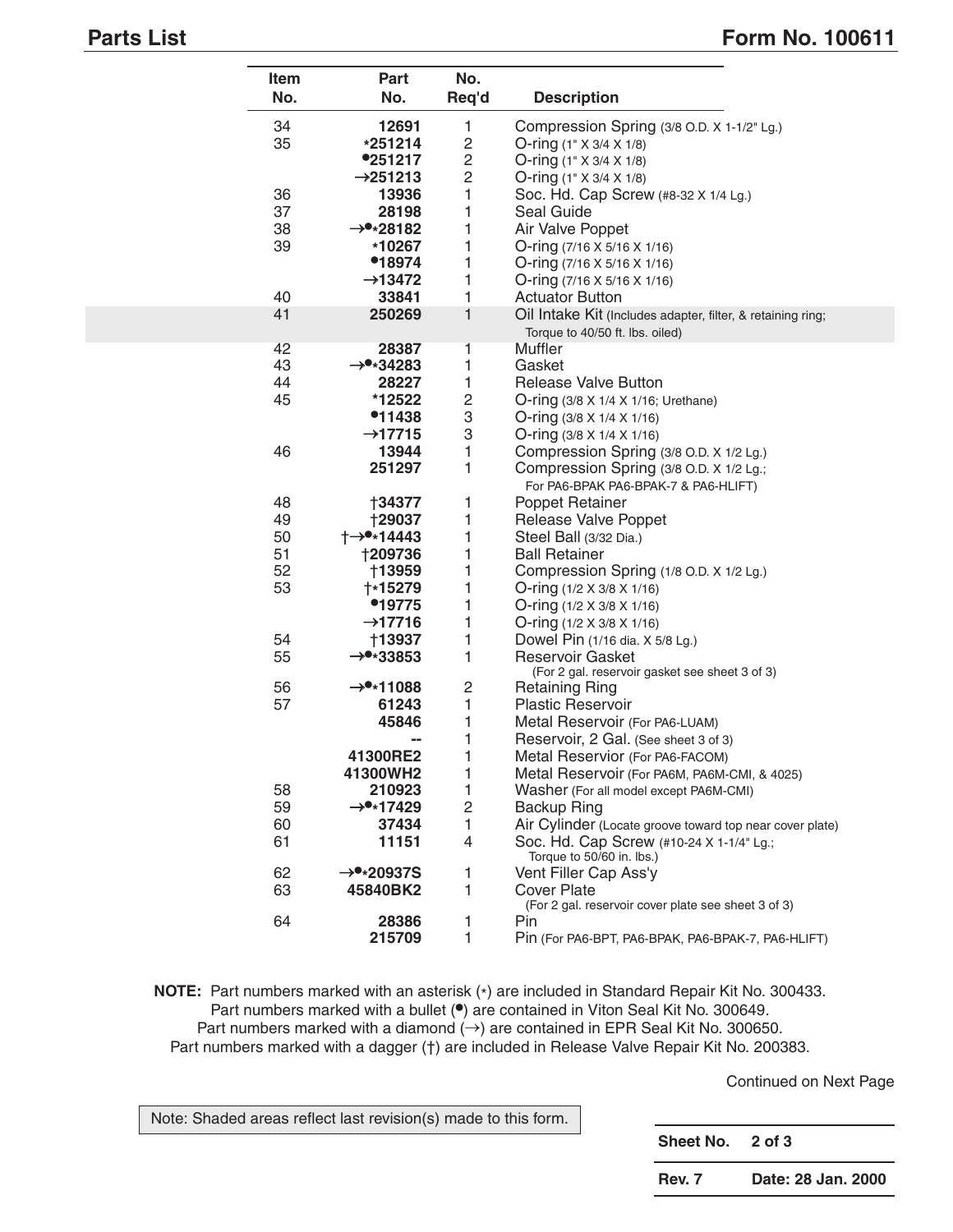L

## **Parts List** Form No. 100611

| Item<br>No. | Part<br>No.           | No.<br>Req'd   | <b>Description</b>                                                              |
|-------------|-----------------------|----------------|---------------------------------------------------------------------------------|
| 34          | 12691                 | 1              | Compression Spring (3/8 O.D. X 1-1/2" Lg.)                                      |
| 35          | *251214               | $\mathbf 2$    | O-ring $(1" \times 3/4 \times 1/8)$                                             |
|             | <b>•251217</b>        | 2              | O-ring $(1" \times 3/4 \times 1/8)$                                             |
|             | $\rightarrow$ 251213  | $\overline{c}$ | O-ring $(1" \times 3/4 \times 1/8)$                                             |
| 36          | 13936                 | 1              | Soc. Hd. Cap Screw (#8-32 X 1/4 Lg.)                                            |
| 37          | 28198                 | 1              | Seal Guide                                                                      |
| 38          | $\rightarrow$ *28182  | 1              | Air Valve Poppet                                                                |
| 39          | *10267                | 1              | O-ring $(7/16 \times 5/16 \times 1/16)$                                         |
|             | •18974                | 1              | O-ring $(7/16 \times 5/16 \times 1/16)$                                         |
|             | $\rightarrow$ 13472   | 1              | O-ring $(7/16 \times 5/16 \times 1/16)$                                         |
| 40          | 33841                 | 1              | <b>Actuator Button</b>                                                          |
| 41          | 250269                | 1              | Oil Intake Kit (Includes adapter, filter, & retaining ring;                     |
|             |                       |                | Torque to 40/50 ft. lbs. oiled)                                                 |
| 42          | 28387                 | 1              | Muffler                                                                         |
| 43          | $\rightarrow$ *34283  | 1              | Gasket                                                                          |
| 44          | 28227                 | 1              | Release Valve Button                                                            |
| 45          | *12522                | $\mathbf 2$    | O-ring (3/8 X 1/4 X 1/16; Urethane)                                             |
|             | $^{\bullet}11438$     | 3              | O-ring $(3/8 \times 1/4 \times 1/16)$                                           |
|             | $\rightarrow$ 17715   | 3              | O-ring $(3/8 \times 1/4 \times 1/16)$                                           |
| 46          | 13944                 | 1              | Compression Spring (3/8 O.D. X 1/2 Lg.)                                         |
|             | 251297                | 1              | Compression Spring (3/8 O.D. X 1/2 Lg.;<br>For PA6-BPAK PA6-BPAK-7 & PA6-HLIFT) |
| 48          | †34377                | 1              | Poppet Retainer                                                                 |
| 49          | <b>†29037</b>         | 1              | Release Valve Poppet                                                            |
| 50          | †→●∗14443             | 1              | Steel Ball (3/32 Dia.)                                                          |
| 51          | <b>†209736</b>        | 1              | <b>Ball Retainer</b>                                                            |
| 52          | †13959                | 1              | Compression Spring (1/8 O.D. X 1/2 Lg.)                                         |
| 53          | <b>+*15279</b>        | 1              | O-ring $(1/2 \times 3/8 \times 1/16)$                                           |
|             | •19775                | 1              | O-ring $(1/2 \times 3/8 \times 1/16)$                                           |
|             | $\rightarrow$ 17716   | 1              | O-ring $(1/2 \times 3/8 \times 1/16)$                                           |
| 54          | †13937                | 1              | Dowel Pin (1/16 dia. X 5/8 Lg.)                                                 |
| 55          | $\rightarrow$ *33853  | 1              | <b>Reservoir Gasket</b><br>(For 2 gal. reservoir gasket see sheet 3 of 3)       |
| 56          | $\rightarrow$ *11088  | 2              | <b>Retaining Ring</b>                                                           |
| 57          | 61243                 | 1              | <b>Plastic Reservoir</b>                                                        |
|             | 45846                 | 1              | Metal Reservoir (For PA6-LUAM)                                                  |
|             |                       | 1              | Reservoir, 2 Gal. (See sheet 3 of 3)                                            |
|             | 41300RE2              | 1              | Metal Reservior (For PA6-FACOM)                                                 |
|             | 41300WH2              | 1              | Metal Reservoir (For PA6M, PA6M-CMI, & 4025)                                    |
| 58          | 210923                | 1              | Washer (For all model except PA6M-CMI)                                          |
| 59          | $\rightarrow$ *17429  | $\overline{c}$ | <b>Backup Ring</b>                                                              |
| 60          | 37434                 | 1              | Air Cylinder (Locate groove toward top near cover plate)                        |
| 61          | 11151                 | 4              | Soc. Hd. Cap Screw (#10-24 X 1-1/4" Lg.;<br>Torque to 50/60 in. lbs.)           |
| 62          | $\rightarrow$ *20937S | 1              | Vent Filler Cap Ass'y                                                           |
| 63          | 45840BK2              | 1              | <b>Cover Plate</b><br>(For 2 gal. reservoir cover plate see sheet 3 of 3)       |
| 64          | 28386                 | 1              | Pin                                                                             |
|             | 215709                | 1              | Pin (For PA6-BPT, PA6-BPAK, PA6-BPAK-7, PA6-HLIFT)                              |

**NOTE:** Part numbers marked with an asterisk (\*) are included in Standard Repair Kit No. 300433. Part numbers marked with a bullet (**•**) are contained in Viton Seal Kit No. 300649. Part numbers marked with a diamond  $(\rightarrow)$  are contained in EPR Seal Kit No. 300650. Part numbers marked with a dagger (†) are included in Release Valve Repair Kit No. 200383.

Continued on Next Page

| Note: Shaded areas reflect last revision(s) made to this form. | Sheet No. 2 of 3 |                    |
|----------------------------------------------------------------|------------------|--------------------|
|                                                                | <b>Rev. 7</b>    | Date: 28 Jan. 2000 |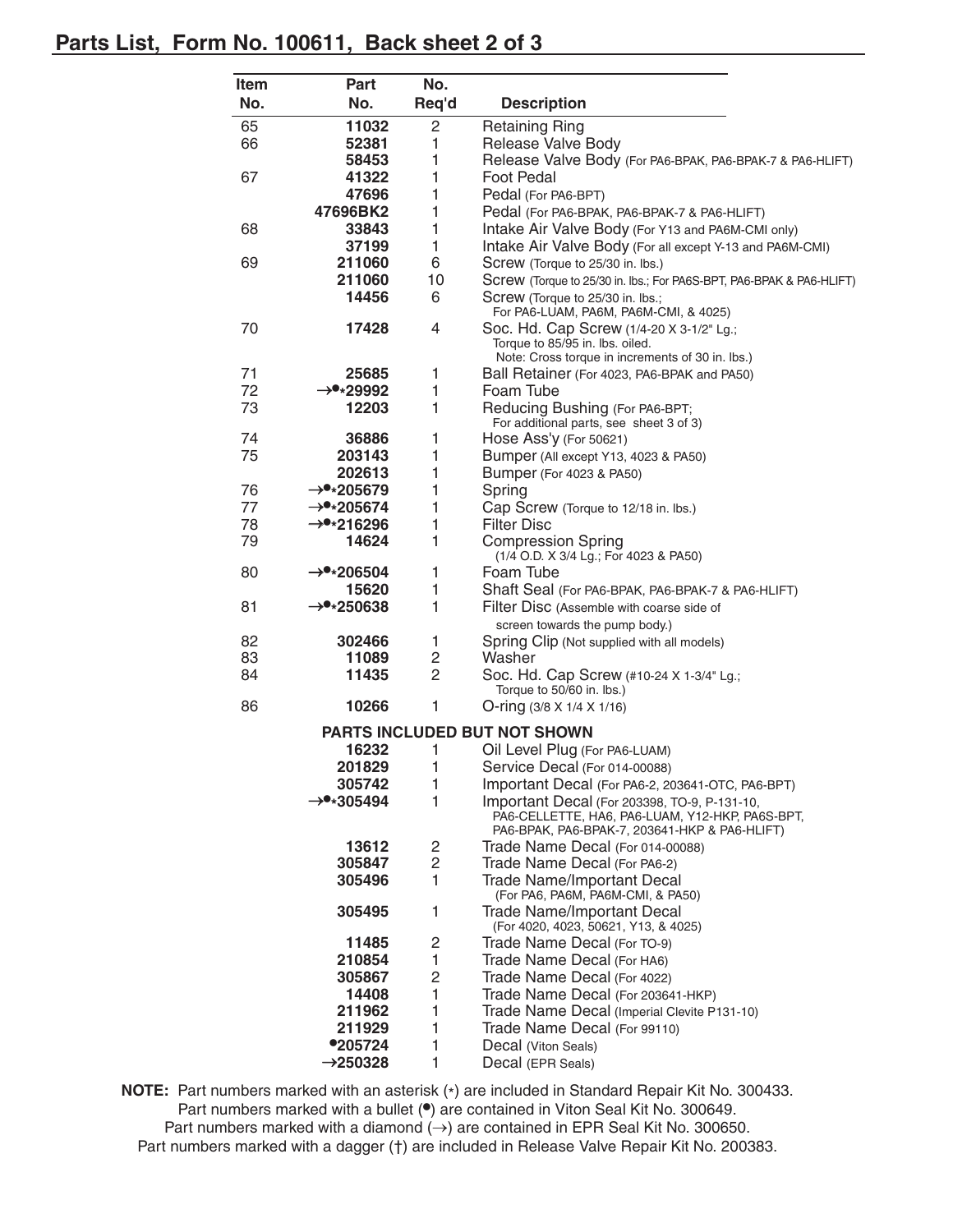## **Parts List, Form No. 100611, Back sheet 2 of 3**

| Item | Part                  | No.   |                                                                                                                                                  |  |
|------|-----------------------|-------|--------------------------------------------------------------------------------------------------------------------------------------------------|--|
| No.  | No.                   | Req'd | <b>Description</b>                                                                                                                               |  |
| 65   | 11032                 | 2     | <b>Retaining Ring</b>                                                                                                                            |  |
| 66   | 52381                 | 1     | Release Valve Body                                                                                                                               |  |
|      | 58453                 | 1     | Release Valve Body (For PA6-BPAK, PA6-BPAK-7 & PA6-HLIFT)                                                                                        |  |
| 67   | 41322                 | 1     | <b>Foot Pedal</b>                                                                                                                                |  |
|      | 47696                 | 1     | Pedal (For PA6-BPT)                                                                                                                              |  |
|      | 47696BK2              | 1     | Pedal (For PA6-BPAK, PA6-BPAK-7 & PA6-HLIFT)                                                                                                     |  |
| 68   | 33843                 | 1     | Intake Air Valve Body (For Y13 and PA6M-CMI only)                                                                                                |  |
|      | 37199                 | 1     | Intake Air Valve Body (For all except Y-13 and PA6M-CMI)                                                                                         |  |
| 69   | 211060                | 6     | Screw (Torque to 25/30 in. lbs.)                                                                                                                 |  |
|      | 211060                | 10    | Screw (Torque to 25/30 in. lbs.; For PA6S-BPT, PA6-BPAK & PA6-HLIFT)                                                                             |  |
|      | 14456                 | 6     | Screw (Torque to 25/30 in. lbs.;<br>For PA6-LUAM, PA6M, PA6M-CMI, & 4025)                                                                        |  |
| 70   | 17428                 | 4     | Soc. Hd. Cap Screw (1/4-20 X 3-1/2" Lg.;<br>Torque to 85/95 in. lbs. oiled.<br>Note: Cross torque in increments of 30 in. lbs.)                  |  |
| 71   | 25685                 | 1     | Ball Retainer (For 4023, PA6-BPAK and PA50)                                                                                                      |  |
| 72   | $\rightarrow$ *29992  | 1     | Foam Tube                                                                                                                                        |  |
| 73   | 12203                 | 1     | Reducing Bushing (For PA6-BPT;                                                                                                                   |  |
|      |                       |       | For additional parts, see sheet 3 of 3)                                                                                                          |  |
| 74   | 36886                 | 1     | Hose Ass'y (For 50621)                                                                                                                           |  |
| 75   | 203143                | 1     | <b>Bumper (All except Y13, 4023 &amp; PA50)</b>                                                                                                  |  |
|      | 202613                | 1     | Bumper (For 4023 & PA50)                                                                                                                         |  |
| 76   | $\rightarrow$ *205679 | 1     | Spring                                                                                                                                           |  |
| 77   | $\rightarrow$ *205674 | 1     | Cap Screw (Torque to 12/18 in. lbs.)                                                                                                             |  |
| 78   | $\rightarrow$ *216296 | 1     | <b>Filter Disc</b>                                                                                                                               |  |
| 79   | 14624                 | 1     | <b>Compression Spring</b><br>(1/4 O.D. X 3/4 Lg.; For 4023 & PA50)                                                                               |  |
| 80   | $\rightarrow$ *206504 | 1     | Foam Tube                                                                                                                                        |  |
|      | 15620                 | 1     | Shaft Seal (For PA6-BPAK, PA6-BPAK-7 & PA6-HLIFT)                                                                                                |  |
| 81   | $\rightarrow$ *250638 | 1     | Filter Disc (Assemble with coarse side of<br>screen towards the pump body.)                                                                      |  |
| 82   | 302466                | 1     | Spring Clip (Not supplied with all models)                                                                                                       |  |
| 83   | 11089                 | 2     | Washer                                                                                                                                           |  |
| 84   | 11435                 | 2     | Soc. Hd. Cap Screw (#10-24 X 1-3/4" Lg.;<br>Torque to 50/60 in. lbs.)                                                                            |  |
| 86   | 10266                 | 1     | O-ring $(3/8 \times 1/4 \times 1/16)$                                                                                                            |  |
|      |                       |       | <b>PARTS INCLUDED BUT NOT SHOWN</b>                                                                                                              |  |
|      | 16232                 | 1     | Oil Level Plug (For PA6-LUAM)                                                                                                                    |  |
|      | 201829                | 1     | Service Decal (For 014-00088)                                                                                                                    |  |
|      | 305742                | 1     | Important Decal (For PA6-2, 203641-OTC, PA6-BPT)                                                                                                 |  |
|      | $\rightarrow$ *305494 | 1     | Important Decal (For 203398, TO-9, P-131-10,<br>PA6-CELLETTE, HA6, PA6-LUAM, Y12-HKP, PA6S-BPT,<br>PA6-BPAK, PA6-BPAK-7, 203641-HKP & PA6-HLIFT) |  |
|      | 13612                 | 2     | Trade Name Decal (For 014-00088)                                                                                                                 |  |
|      | 305847                | 2     | Trade Name Decal (For PA6-2)                                                                                                                     |  |
|      | 305496                | 1     | <b>Trade Name/Important Decal</b><br>(For PA6, PA6M, PA6M-CMI, & PA50)                                                                           |  |
|      | 305495                | 1     | <b>Trade Name/Important Decal</b><br>(For 4020, 4023, 50621, Y13, & 4025)                                                                        |  |
|      | 11485                 | 2     | Trade Name Decal (For TO-9)                                                                                                                      |  |
|      | 210854                | 1     | Trade Name Decal (For HA6)                                                                                                                       |  |
|      | 305867                | 2     | Trade Name Decal (For 4022)                                                                                                                      |  |
|      | 14408                 | 1     | Trade Name Decal (For 203641-HKP)                                                                                                                |  |
|      | 211962                | 1     | Trade Name Decal (Imperial Clevite P131-10)                                                                                                      |  |
|      | 211929                | 1     | Trade Name Decal (For 99110)                                                                                                                     |  |
|      | ●205724               | 1     | Decal (Viton Seals)                                                                                                                              |  |
|      | $\rightarrow$ 250328  | 1     | Decal (EPR Seals)                                                                                                                                |  |

**NOTE:** Part numbers marked with an asterisk (\*) are included in Standard Repair Kit No. 300433. Part numbers marked with a bullet ( $\bullet$ ) are contained in Viton Seal Kit No. 300649. Part numbers marked with a diamond  $(\rightarrow)$  are contained in EPR Seal Kit No. 300650. Part numbers marked with a dagger (†) are included in Release Valve Repair Kit No. 200383.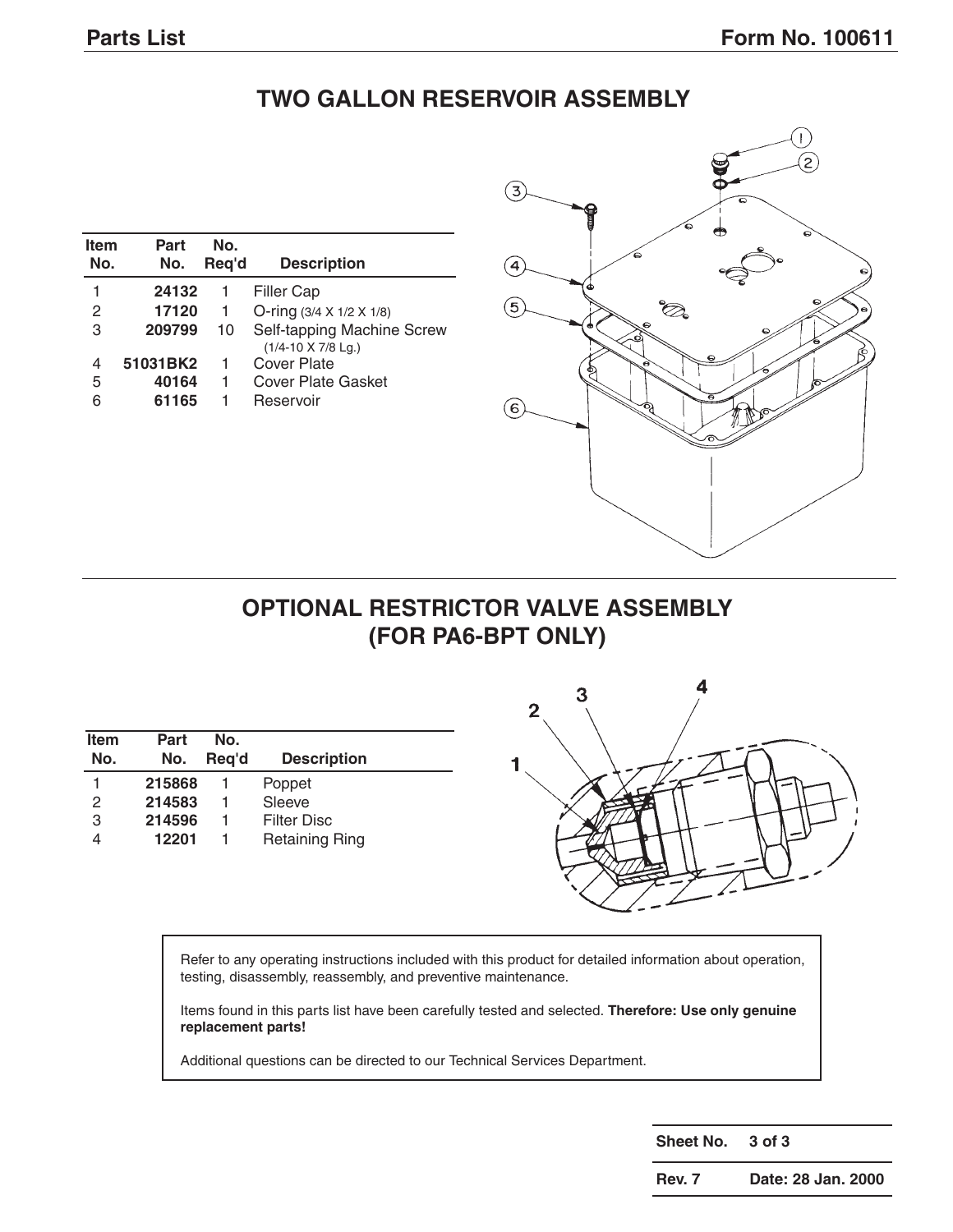# **TWO GALLON RESERVOIR ASSEMBLY**

| <b>Item</b><br>No. | Part<br>No. | No.<br>Reg'd | <b>Description</b>                               |
|--------------------|-------------|--------------|--------------------------------------------------|
| 1                  | 24132       | 1            | <b>Filler Cap</b>                                |
| 2                  | 17120       | $\mathbf{1}$ | O-ring $(3/4 \times 1/2 \times 1/8)$             |
| 3                  | 209799      | 10           | Self-tapping Machine Screw<br>(1/4-10 X 7/8 Lg.) |
| 4                  | 51031BK2    | 1            | Cover Plate                                      |
| 5                  | 40164       | 1            | Cover Plate Gasket                               |
| 6                  | 61165       | 1            | Reservoir                                        |



## **OPTIONAL RESTRICTOR VALVE ASSEMBLY (FOR PA6-BPT ONLY)**

| <b>Item</b><br>No. | Part<br>No. | No.<br>Reg'd | <b>Description</b>    |
|--------------------|-------------|--------------|-----------------------|
|                    | 215868      |              | Poppet                |
| 2                  | 214583      |              | Sleeve                |
| 3                  | 214596      |              | <b>Filter Disc</b>    |
|                    | 12201       |              | <b>Retaining Ring</b> |



Refer to any operating instructions included with this product for detailed information about operation, testing, disassembly, reassembly, and preventive maintenance.

Items found in this parts list have been carefully tested and selected. **Therefore: Use only genuine replacement parts!**

Additional questions can be directed to our Technical Services Department.

**Sheet No. 3 of 3**

**Rev. 7 Date: 28 Jan. 2000**